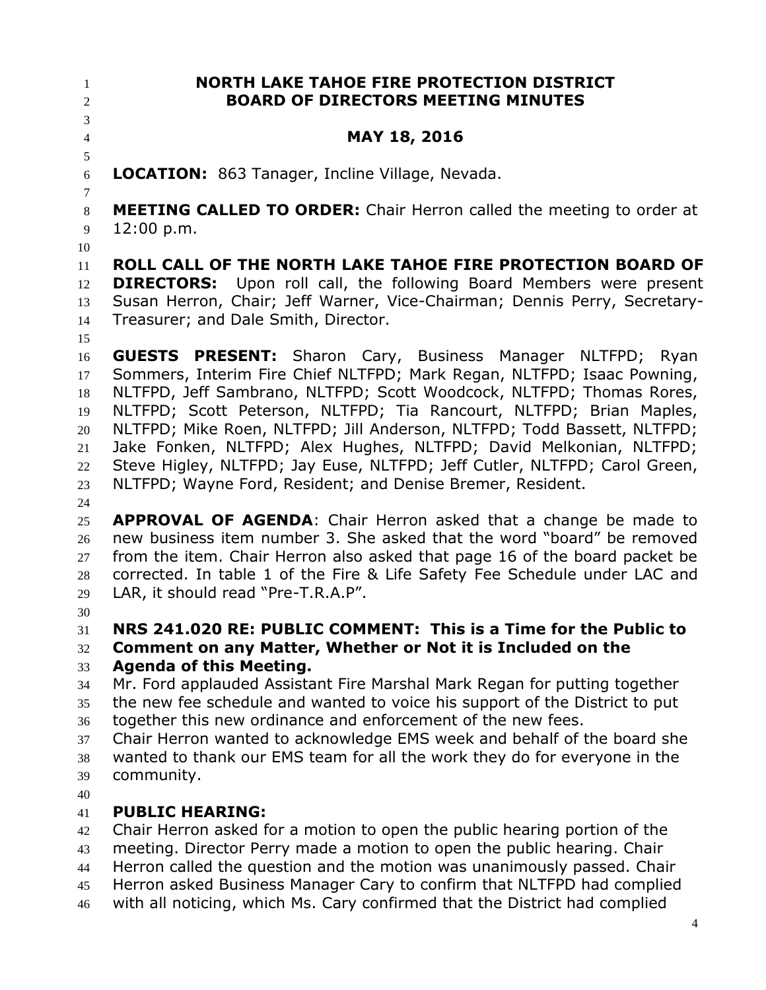**NORTH LAKE TAHOE FIRE PROTECTION DISTRICT BOARD OF DIRECTORS MEETING MINUTES MAY 18, 2016 LOCATION:** 863 Tanager, Incline Village, Nevada. **MEETING CALLED TO ORDER:** Chair Herron called the meeting to order at 12:00 p.m. **ROLL CALL OF THE NORTH LAKE TAHOE FIRE PROTECTION BOARD OF DIRECTORS:** Upon roll call, the following Board Members were present Susan Herron, Chair; Jeff Warner, Vice-Chairman; Dennis Perry, Secretary- Treasurer; and Dale Smith, Director. **GUESTS PRESENT:** Sharon Cary, Business Manager NLTFPD; Ryan Sommers, Interim Fire Chief NLTFPD; Mark Regan, NLTFPD; Isaac Powning, NLTFPD, Jeff Sambrano, NLTFPD; Scott Woodcock, NLTFPD; Thomas Rores, NLTFPD; Scott Peterson, NLTFPD; Tia Rancourt, NLTFPD; Brian Maples, NLTFPD; Mike Roen, NLTFPD; Jill Anderson, NLTFPD; Todd Bassett, NLTFPD; Jake Fonken, NLTFPD; Alex Hughes, NLTFPD; David Melkonian, NLTFPD; Steve Higley, NLTFPD; Jay Euse, NLTFPD; Jeff Cutler, NLTFPD; Carol Green, NLTFPD; Wayne Ford, Resident; and Denise Bremer, Resident. **APPROVAL OF AGENDA**: Chair Herron asked that a change be made to new business item number 3. She asked that the word "board" be removed from the item. Chair Herron also asked that page 16 of the board packet be corrected. In table 1 of the Fire & Life Safety Fee Schedule under LAC and LAR, it should read "Pre-T.R.A.P". **NRS 241.020 RE: PUBLIC COMMENT: This is a Time for the Public to Comment on any Matter, Whether or Not it is Included on the Agenda of this Meeting.**  Mr. Ford applauded Assistant Fire Marshal Mark Regan for putting together the new fee schedule and wanted to voice his support of the District to put together this new ordinance and enforcement of the new fees. Chair Herron wanted to acknowledge EMS week and behalf of the board she wanted to thank our EMS team for all the work they do for everyone in the community. **PUBLIC HEARING:** Chair Herron asked for a motion to open the public hearing portion of the meeting. Director Perry made a motion to open the public hearing. Chair Herron called the question and the motion was unanimously passed. Chair Herron asked Business Manager Cary to confirm that NLTFPD had complied with all noticing, which Ms. Cary confirmed that the District had complied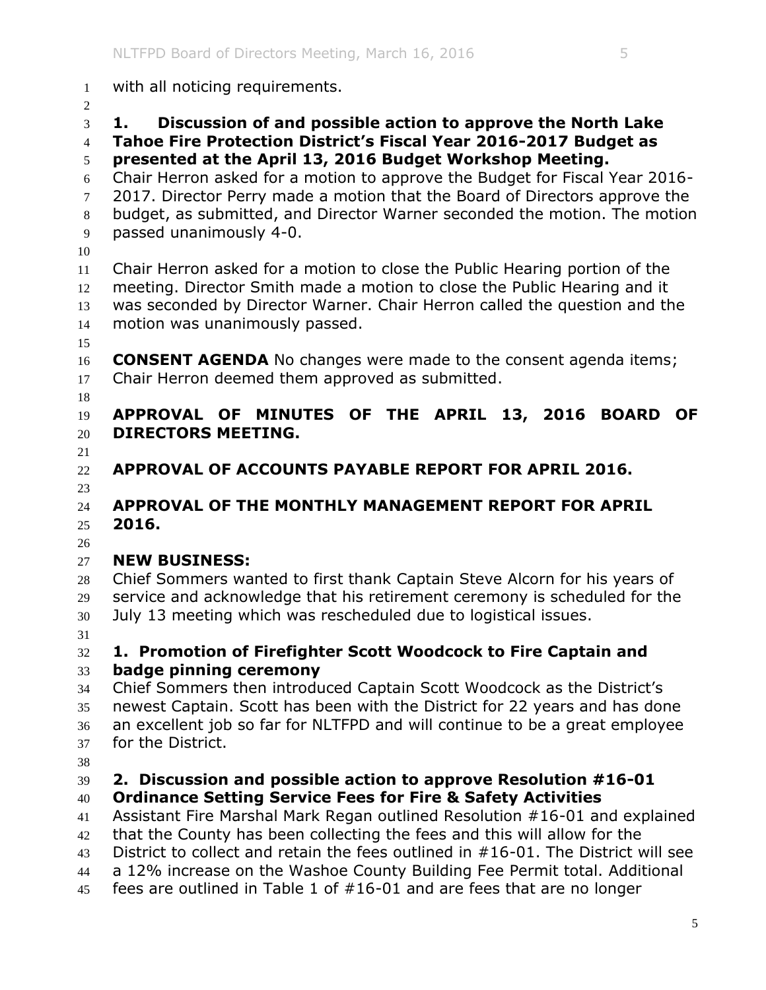with all noticing requirements. **1. Discussion of and possible action to approve the North Lake Tahoe Fire Protection District's Fiscal Year 2016-2017 Budget as presented at the April 13, 2016 Budget Workshop Meeting.**  Chair Herron asked for a motion to approve the Budget for Fiscal Year 2016- 7 2017. Director Perry made a motion that the Board of Directors approve the budget, as submitted, and Director Warner seconded the motion. The motion passed unanimously 4-0. Chair Herron asked for a motion to close the Public Hearing portion of the 12 meeting. Director Smith made a motion to close the Public Hearing and it was seconded by Director Warner. Chair Herron called the question and the motion was unanimously passed. **CONSENT AGENDA** No changes were made to the consent agenda items; 17 Chair Herron deemed them approved as submitted. **APPROVAL OF MINUTES OF THE APRIL 13, 2016 BOARD OF DIRECTORS MEETING. APPROVAL OF ACCOUNTS PAYABLE REPORT FOR APRIL 2016. APPROVAL OF THE MONTHLY MANAGEMENT REPORT FOR APRIL 2016. NEW BUSINESS:**  Chief Sommers wanted to first thank Captain Steve Alcorn for his years of service and acknowledge that his retirement ceremony is scheduled for the July 13 meeting which was rescheduled due to logistical issues. **1. Promotion of Firefighter Scott Woodcock to Fire Captain and badge pinning ceremony** Chief Sommers then introduced Captain Scott Woodcock as the District's newest Captain. Scott has been with the District for 22 years and has done an excellent job so far for NLTFPD and will continue to be a great employee for the District. **2. Discussion and possible action to approve Resolution #16-01 Ordinance Setting Service Fees for Fire & Safety Activities** Assistant Fire Marshal Mark Regan outlined Resolution #16-01 and explained that the County has been collecting the fees and this will allow for the District to collect and retain the fees outlined in #16-01. The District will see

- a 12% increase on the Washoe County Building Fee Permit total. Additional
- fees are outlined in Table 1 of #16-01 and are fees that are no longer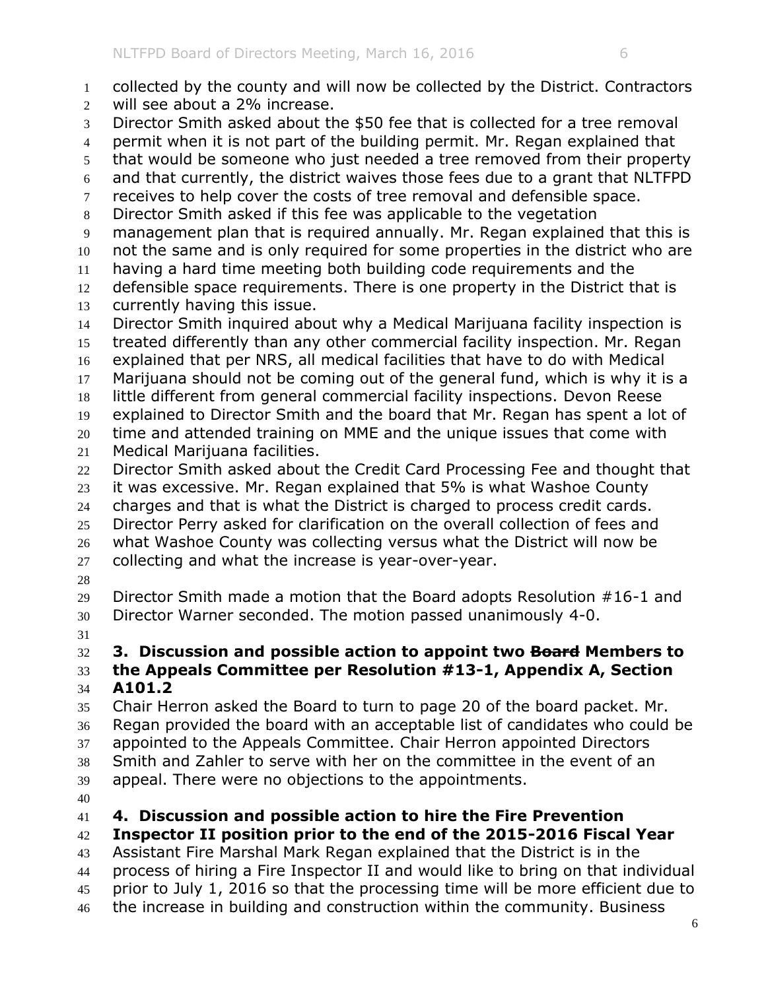- collected by the county and will now be collected by the District. Contractors will see about a 2% increase.
- Director Smith asked about the \$50 fee that is collected for a tree removal
- permit when it is not part of the building permit. Mr. Regan explained that
- that would be someone who just needed a tree removed from their property
- and that currently, the district waives those fees due to a grant that NLTFPD
- 7 receives to help cover the costs of tree removal and defensible space.
- Director Smith asked if this fee was applicable to the vegetation
- management plan that is required annually. Mr. Regan explained that this is
- not the same and is only required for some properties in the district who are
- having a hard time meeting both building code requirements and the
- 12 defensible space requirements. There is one property in the District that is
- currently having this issue.
- Director Smith inquired about why a Medical Marijuana facility inspection is
- treated differently than any other commercial facility inspection. Mr. Regan
- explained that per NRS, all medical facilities that have to do with Medical
- Marijuana should not be coming out of the general fund, which is why it is a
- little different from general commercial facility inspections. Devon Reese explained to Director Smith and the board that Mr. Regan has spent a lot of
- time and attended training on MME and the unique issues that come with
- Medical Marijuana facilities.
- Director Smith asked about the Credit Card Processing Fee and thought that
- it was excessive. Mr. Regan explained that 5% is what Washoe County
- charges and that is what the District is charged to process credit cards.
- Director Perry asked for clarification on the overall collection of fees and
- what Washoe County was collecting versus what the District will now be
- collecting and what the increase is year-over-year.
- 

 Director Smith made a motion that the Board adopts Resolution #16-1 and Director Warner seconded. The motion passed unanimously 4-0.

# **3. Discussion and possible action to appoint two Board Members to the Appeals Committee per Resolution #13-1, Appendix A, Section**

**A101.2**

 Chair Herron asked the Board to turn to page 20 of the board packet. Mr. Regan provided the board with an acceptable list of candidates who could be appointed to the Appeals Committee. Chair Herron appointed Directors Smith and Zahler to serve with her on the committee in the event of an appeal. There were no objections to the appointments.

**4. Discussion and possible action to hire the Fire Prevention** 

**Inspector II position prior to the end of the 2015-2016 Fiscal Year**

 Assistant Fire Marshal Mark Regan explained that the District is in the process of hiring a Fire Inspector II and would like to bring on that individual prior to July 1, 2016 so that the processing time will be more efficient due to 46 the increase in building and construction within the community. Business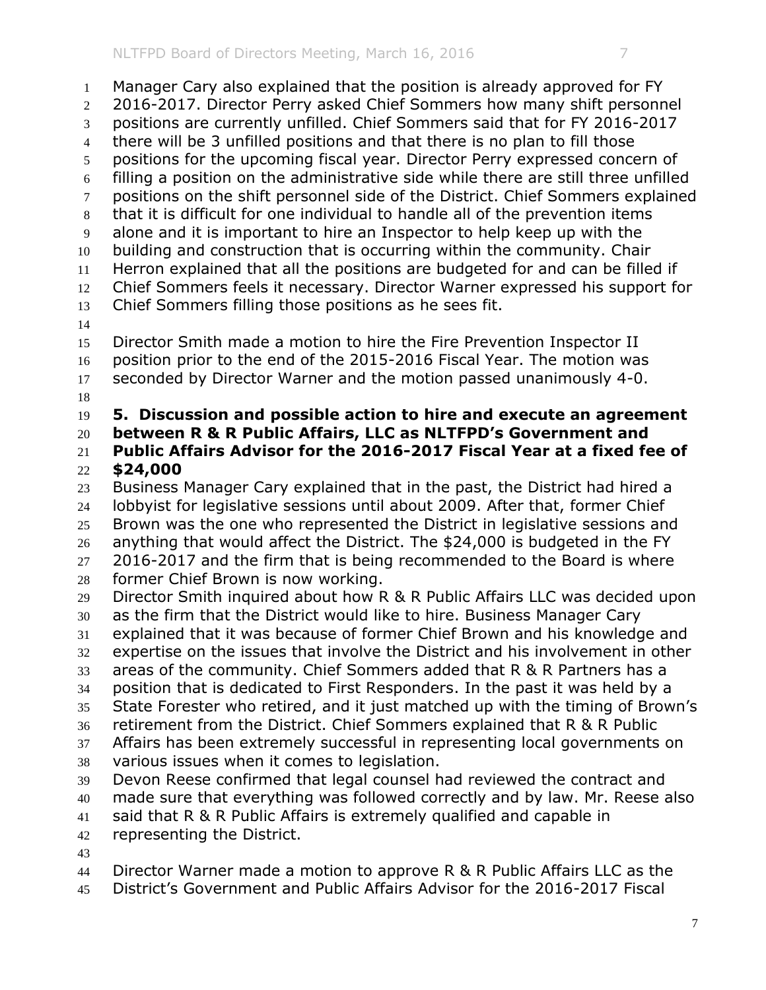Manager Cary also explained that the position is already approved for FY 2016-2017. Director Perry asked Chief Sommers how many shift personnel positions are currently unfilled. Chief Sommers said that for FY 2016-2017 there will be 3 unfilled positions and that there is no plan to fill those positions for the upcoming fiscal year. Director Perry expressed concern of filling a position on the administrative side while there are still three unfilled positions on the shift personnel side of the District. Chief Sommers explained that it is difficult for one individual to handle all of the prevention items alone and it is important to hire an Inspector to help keep up with the building and construction that is occurring within the community. Chair Herron explained that all the positions are budgeted for and can be filled if Chief Sommers feels it necessary. Director Warner expressed his support for Chief Sommers filling those positions as he sees fit. Director Smith made a motion to hire the Fire Prevention Inspector II position prior to the end of the 2015-2016 Fiscal Year. The motion was seconded by Director Warner and the motion passed unanimously 4-0. **5. Discussion and possible action to hire and execute an agreement between R & R Public Affairs, LLC as NLTFPD's Government and Public Affairs Advisor for the 2016-2017 Fiscal Year at a fixed fee of \$24,000** Business Manager Cary explained that in the past, the District had hired a lobbyist for legislative sessions until about 2009. After that, former Chief Brown was the one who represented the District in legislative sessions and anything that would affect the District. The \$24,000 is budgeted in the FY 27 2016-2017 and the firm that is being recommended to the Board is where former Chief Brown is now working. Director Smith inquired about how R & R Public Affairs LLC was decided upon as the firm that the District would like to hire. Business Manager Cary explained that it was because of former Chief Brown and his knowledge and expertise on the issues that involve the District and his involvement in other areas of the community. Chief Sommers added that R & R Partners has a position that is dedicated to First Responders. In the past it was held by a State Forester who retired, and it just matched up with the timing of Brown's retirement from the District. Chief Sommers explained that R & R Public Affairs has been extremely successful in representing local governments on various issues when it comes to legislation. Devon Reese confirmed that legal counsel had reviewed the contract and made sure that everything was followed correctly and by law. Mr. Reese also said that R & R Public Affairs is extremely qualified and capable in representing the District. Director Warner made a motion to approve R & R Public Affairs LLC as the

District's Government and Public Affairs Advisor for the 2016-2017 Fiscal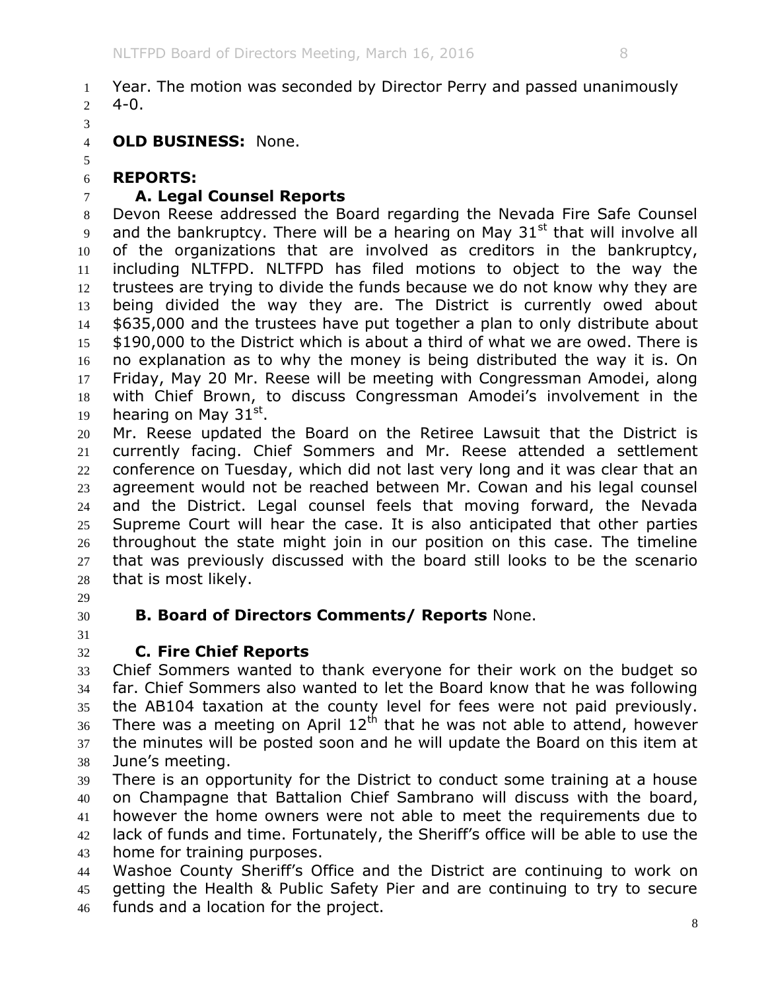Year. The motion was seconded by Director Perry and passed unanimously 2  $4-0$ .

**OLD BUSINESS:** None.

#### **REPORTS:**

## **A. Legal Counsel Reports**

 Devon Reese addressed the Board regarding the Nevada Fire Safe Counsel 9 and the bankruptcy. There will be a hearing on May  $31<sup>st</sup>$  that will involve all of the organizations that are involved as creditors in the bankruptcy, including NLTFPD. NLTFPD has filed motions to object to the way the 12 trustees are trying to divide the funds because we do not know why they are 13 being divided the way they are. The District is currently owed about \$635,000 and the trustees have put together a plan to only distribute about 15 \$190,000 to the District which is about a third of what we are owed. There is no explanation as to why the money is being distributed the way it is. On Friday, May 20 Mr. Reese will be meeting with Congressman Amodei, along with Chief Brown, to discuss Congressman Amodei's involvement in the 19 hearing on May  $31<sup>st</sup>$ .

 Mr. Reese updated the Board on the Retiree Lawsuit that the District is currently facing. Chief Sommers and Mr. Reese attended a settlement conference on Tuesday, which did not last very long and it was clear that an agreement would not be reached between Mr. Cowan and his legal counsel and the District. Legal counsel feels that moving forward, the Nevada Supreme Court will hear the case. It is also anticipated that other parties throughout the state might join in our position on this case. The timeline that was previously discussed with the board still looks to be the scenario that is most likely.

- 
- 

## **B. Board of Directors Comments/ Reports** None.

# **C. Fire Chief Reports**

 Chief Sommers wanted to thank everyone for their work on the budget so far. Chief Sommers also wanted to let the Board know that he was following the AB104 taxation at the county level for fees were not paid previously. There was a meeting on April  $12<sup>th</sup>$  that he was not able to attend, however the minutes will be posted soon and he will update the Board on this item at June's meeting.

 There is an opportunity for the District to conduct some training at a house on Champagne that Battalion Chief Sambrano will discuss with the board, however the home owners were not able to meet the requirements due to lack of funds and time. Fortunately, the Sheriff's office will be able to use the home for training purposes.

 Washoe County Sheriff's Office and the District are continuing to work on getting the Health & Public Safety Pier and are continuing to try to secure funds and a location for the project.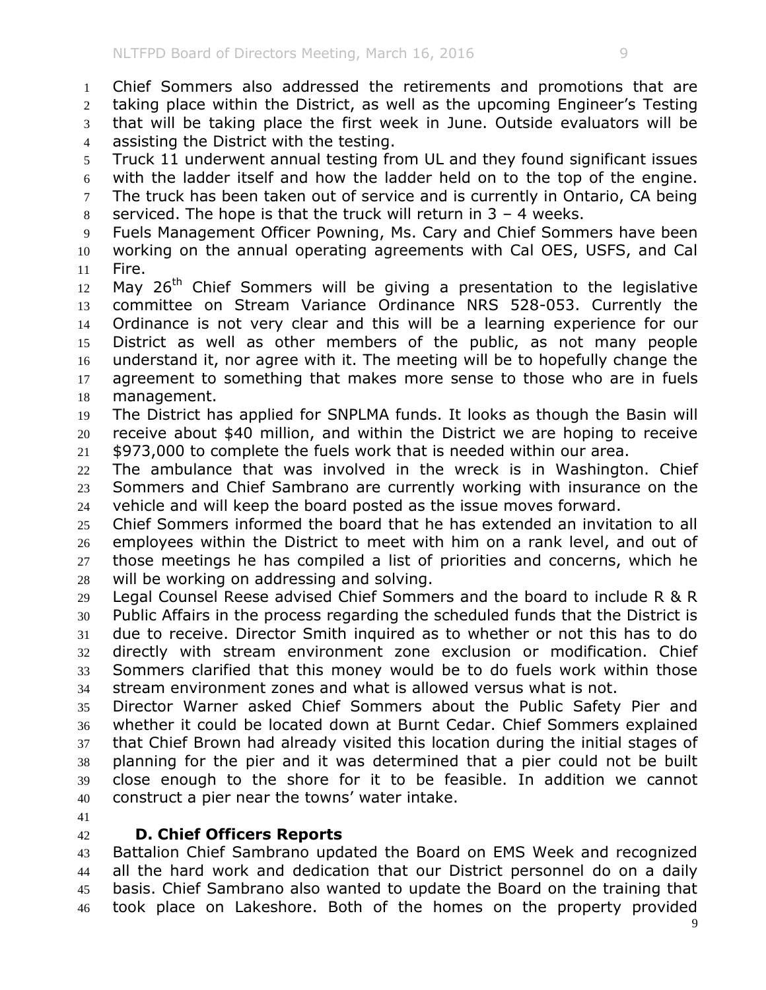Chief Sommers also addressed the retirements and promotions that are taking place within the District, as well as the upcoming Engineer's Testing that will be taking place the first week in June. Outside evaluators will be assisting the District with the testing. Truck 11 underwent annual testing from UL and they found significant issues with the ladder itself and how the ladder held on to the top of the engine. 7 The truck has been taken out of service and is currently in Ontario, CA being 8 serviced. The hope is that the truck will return in  $3 - 4$  weeks. Fuels Management Officer Powning, Ms. Cary and Chief Sommers have been working on the annual operating agreements with Cal OES, USFS, and Cal Fire. 12 May  $26<sup>th</sup>$  Chief Sommers will be giving a presentation to the legislative committee on Stream Variance Ordinance NRS 528-053. Currently the Ordinance is not very clear and this will be a learning experience for our District as well as other members of the public, as not many people understand it, nor agree with it. The meeting will be to hopefully change the 17 agreement to something that makes more sense to those who are in fuels management. The District has applied for SNPLMA funds. It looks as though the Basin will receive about \$40 million, and within the District we are hoping to receive \$973,000 to complete the fuels work that is needed within our area. The ambulance that was involved in the wreck is in Washington. Chief Sommers and Chief Sambrano are currently working with insurance on the vehicle and will keep the board posted as the issue moves forward. Chief Sommers informed the board that he has extended an invitation to all employees within the District to meet with him on a rank level, and out of those meetings he has compiled a list of priorities and concerns, which he will be working on addressing and solving. Legal Counsel Reese advised Chief Sommers and the board to include R & R Public Affairs in the process regarding the scheduled funds that the District is due to receive. Director Smith inquired as to whether or not this has to do directly with stream environment zone exclusion or modification. Chief Sommers clarified that this money would be to do fuels work within those stream environment zones and what is allowed versus what is not. Director Warner asked Chief Sommers about the Public Safety Pier and

 whether it could be located down at Burnt Cedar. Chief Sommers explained that Chief Brown had already visited this location during the initial stages of planning for the pier and it was determined that a pier could not be built close enough to the shore for it to be feasible. In addition we cannot construct a pier near the towns' water intake.

## **D. Chief Officers Reports**

 Battalion Chief Sambrano updated the Board on EMS Week and recognized all the hard work and dedication that our District personnel do on a daily basis. Chief Sambrano also wanted to update the Board on the training that took place on Lakeshore. Both of the homes on the property provided